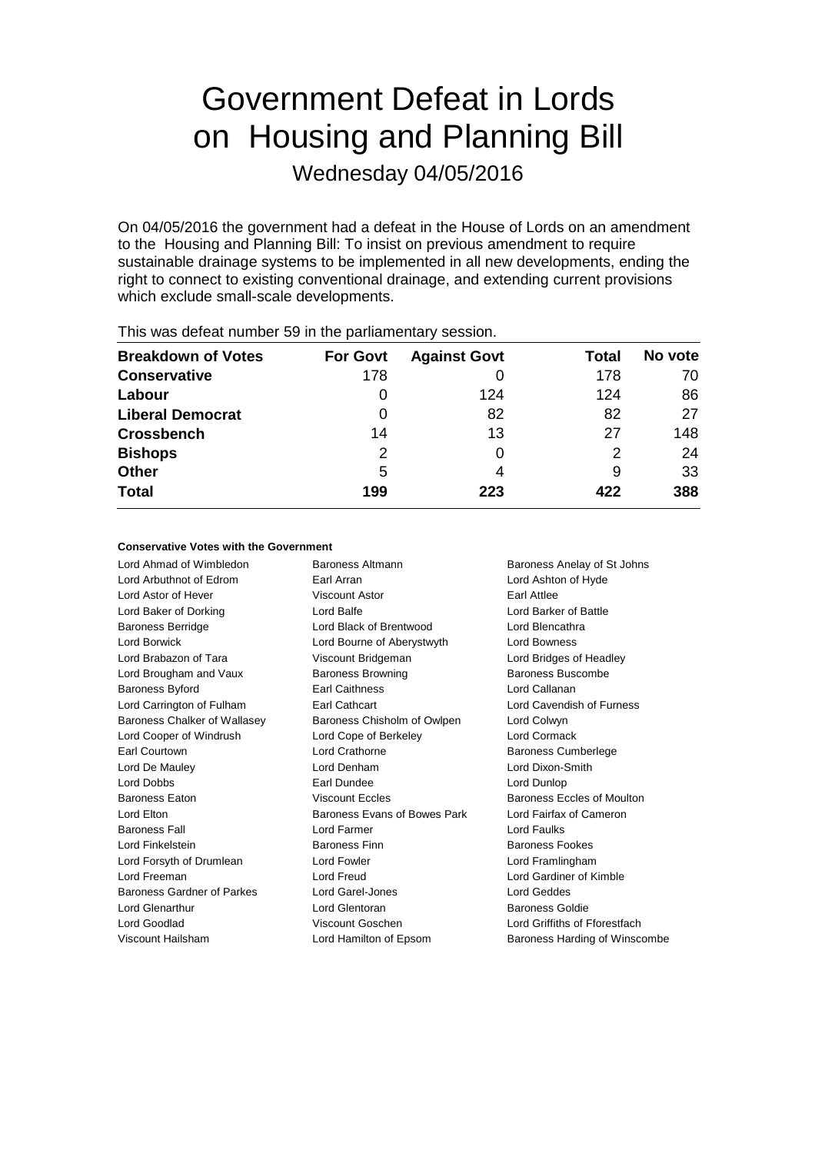# Government Defeat in Lords on Housing and Planning Bill

Wednesday 04/05/2016

On 04/05/2016 the government had a defeat in the House of Lords on an amendment to the Housing and Planning Bill: To insist on previous amendment to require sustainable drainage systems to be implemented in all new developments, ending the right to connect to existing conventional drainage, and extending current provisions which exclude small-scale developments.

| <b>Breakdown of Votes</b> | <b>For Govt</b> | <b>Against Govt</b> | Total | No vote |  |
|---------------------------|-----------------|---------------------|-------|---------|--|
| <b>Conservative</b>       | 178             |                     | 178   | 70      |  |
| Labour                    | O               | 124                 | 124   | 86      |  |
| <b>Liberal Democrat</b>   | O               | 82                  | 82    | 27      |  |
| <b>Crossbench</b>         | 14              | 13                  | 27    | 148     |  |
| <b>Bishops</b>            | 2               | 0                   | 2     | 24      |  |
| Other                     | 5               | 4                   | 9     | 33      |  |
| <b>Total</b>              | 199             | 223                 | 422   | 388     |  |
|                           |                 |                     |       |         |  |

This was defeat number 59 in the parliamentary session.

## **Conservative Votes with the Government**

Lord Arbuthnot of Edrom Earl Arran Lord Ashton of Hyde Lord Astor of Hever Viscount Astor Earl Attlee Lord Baker of Dorking Lord Balfe Lord Barker of Battle Baroness Berridge Lord Black of Brentwood Lord Blencathra Lord Borwick Lord Bourne of Aberystwyth Lord Bowness Lord Brabazon of Tara Viscount Bridgeman Lord Bridges of Headley Lord Brougham and Vaux Baroness Browning Baroness Buscombe Baroness Byford Earl Caithness Lord Callanan Lord Carrington of Fulham Earl Cathcart Lord Cavendish of Furness Baroness Chalker of Wallasey Baroness Chisholm of Owlpen Lord Colwyn Lord Cooper of Windrush Lord Cope of Berkeley Lord Cormack Earl Courtown Lord Crathorne Baroness Cumberlege Lord De Mauley **Lord Denham** Lord Denham **Lord Dixon-Smith** Lord Dobbs Earl Dundee Lord Dunlop Baroness Eaton **Exercise Systems** Viscount Eccles **Baroness Eccles of Moulton** Lord Elton Baroness Evans of Bowes Park Lord Fairfax of Cameron **Baroness Fall Community Community Community Community Community Community Community Community Community Community** Lord Finkelstein Baroness Finn Baroness Fookes Lord Forsyth of Drumlean Lord Fowler Lord Framlingham Lord Freeman Lord Freud Lord Gardiner of Kimble Baroness Gardner of Parkes Lord Garel-Jones Lord Geddes Lord Glenarthur Lord Glentoran Baroness Goldie Lord Goodlad Viscount Goschen Lord Griffiths of Fforestfach

Lord Ahmad of Wimbledon Baroness Altmann Baroness Anelay of St Johns

Viscount Hailsham Lord Hamilton of Epsom Baroness Harding of Winscombe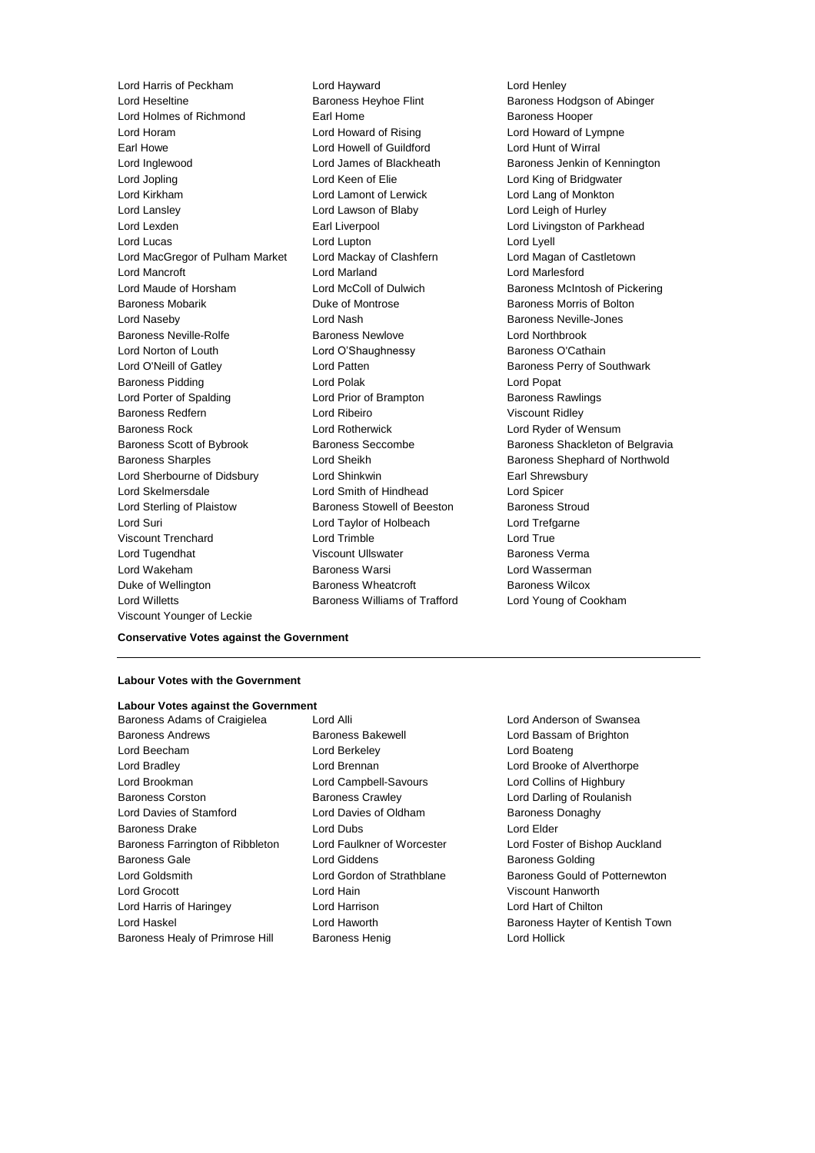Lord Heseltine Baroness Heyhoe Flint Baroness Hodgson of Abinger Lord Holmes of Richmond **Earl Home** Earl Home Baroness Hooper Lord Horam **Lord Howard of Rising** Lord Howard of Lympne Earl Howe Lord Howell of Guildford Lord Hunt of Wirral Lord Inglewood Lord James of Blackheath Baroness Jenkin of Kennington Lord Jopling **Lord Keen of Elie** Lord Keen Club Lord King of Bridgwater Lord Kirkham Lord Lamont of Lerwick Lord Lang of Monkton Lord Lansley Lord Lawson of Blaby Lord Leigh of Hurley Lord Lexden **Earl Liverpool** Earl Liverpool **Lord Livingston of Parkhead** Lord Lucas Lord Lupton Lord Lyell Lord MacGregor of Pulham Market Lord Mackay of Clashfern Lord Magan of Castletown Lord Mancroft Lord Marland Lord Marlesford Lord Maude of Horsham **Lord McColl of Dulwich Baroness McIntosh of Pickering** Baroness Mobarik **Duke of Montrose** Baroness Morris of Bolton Lord Naseby **Lord Nash Baroness Neville-Jones** Baroness Neville-Rolfe **Baroness Newlove Baroness Newlove** Lord Northbrook Lord Norton of Louth **Lord O'Shaughnessy** Baroness O'Cathain Lord O'Neill of Gatley **Lord Patten** Lord Patten **Baroness Perry of Southwark** Baroness Pidding **Communist Communist Communist Communist Communist Communist Communist Communist Communist Communist Communist Communist Communist Communist Communist Communist Communist Communist Communist Communist Comm** Lord Porter of Spalding **Lord Prior of Brampton** Baroness Rawlings Baroness Redfern **Lord Ribeiro** Lord Ribeiro Viscount Ridley Baroness Rock Lord Rotherwick Lord Ryder of Wensum Baroness Scott of Bybrook Baroness Seccombe Baroness Shackleton of Belgravia Baroness Sharples **Lord Sheikh** Baroness Shephard of Northwold Lord Sherbourne of Didsbury Lord Shinkwin **Earl Shrewsbury** Earl Shrewsbury Lord Skelmersdale Lord Smith of Hindhead Lord Spicer Lord Sterling of Plaistow Baroness Stowell of Beeston Baroness Stroud Lord Suri Lord Taylor of Holbeach Lord Trefgarne Viscount Trenchard Lord Trimble Lord True Lord Tugendhat Viscount Ullswater Baroness Verma Lord Wakeham Baroness Warsi Lord Wasserman Duke of Wellington Baroness Wheatcroft Baroness Wilcox Lord Willetts Baroness Williams of Trafford Lord Young of Cookham Viscount Younger of Leckie

Lord Harris of Peckham Lord Hayward Lord Henley

## **Conservative Votes against the Government**

#### **Labour Votes with the Government**

## **Labour Votes against the Government**

Baroness Adams of Craigielea Lord Alli Lord Anderson of Swansea Baroness Andrews **Baroness Bakewell Baroness Bakewell Lord Bassam of Brighton** Lord Beecham Lord Berkeley Lord Boateng Lord Bradley Lord Brennan Lord Brooke of Alverthorpe Lord Brookman Lord Campbell-Savours Lord Collins of Highbury Baroness Corston **Baroness Crawley Baroness Crawley** Lord Darling of Roulanish Lord Davies of Stamford **Lord Davies of Oldham** Baroness Donaghy Baroness Drake **Lord Dubs** Lord Dubs **Lord Elder** Baroness Farrington of Ribbleton Lord Faulkner of Worcester Lord Foster of Bishop Auckland Baroness Gale **Baroness Golding** Lord Giddens **Baroness Golding** Lord Goldsmith **Lord Gordon of Strathblane** Baroness Gould of Potternewton Lord Grocott Lord Hain Viscount Hanworth Lord Harris of Haringey Lord Harrison Lord Hart of Chilton Lord Haskel Lord Haworth Baroness Hayter of Kentish Town Baroness Healy of Primrose Hill Baroness Henig Controller Lord Hollick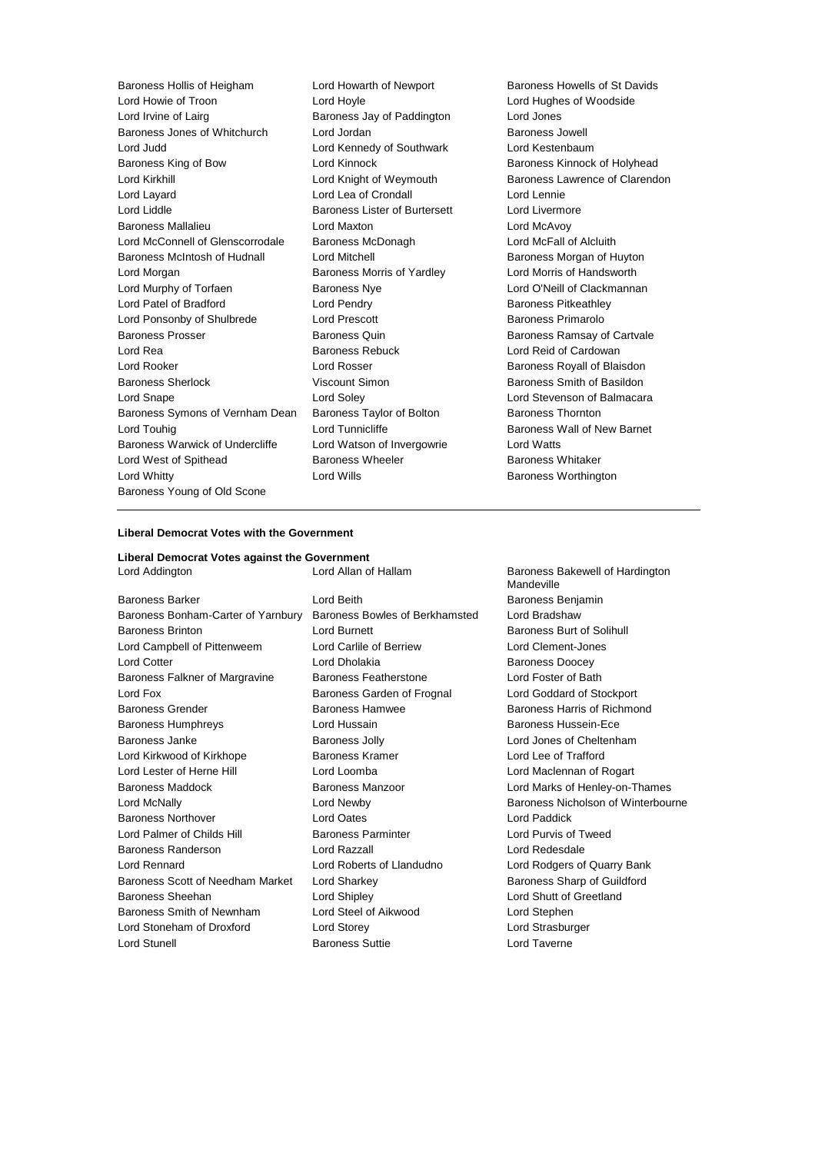| Baroness Hollis of Heigham       | L |
|----------------------------------|---|
| Lord Howie of Troon              | L |
| Lord Irvine of Lairg             | E |
| Baroness Jones of Whitchurch     | L |
| Lord Judd                        | L |
| Baroness King of Bow             | L |
| <b>Lord Kirkhill</b>             | L |
| Lord Layard                      |   |
| Lord Liddle                      | E |
| <b>Baroness Mallalieu</b>        | L |
| Lord McConnell of Glenscorrodale | E |
| Baroness McIntosh of Hudnall     | L |
| Lord Morgan                      | E |
| Lord Murphy of Torfaen           | E |
| Lord Patel of Bradford           | Ĺ |
| Lord Ponsonby of Shulbrede       | L |
| <b>Baroness Prosser</b>          | E |
| Lord Rea                         | E |
| Lord Rooker                      | L |
| <b>Baroness Sherlock</b>         | ١ |
| Lord Snape                       | L |
| Baroness Symons of Vernham Dean  | E |
| Lord Touhig                      | L |
| Baroness Warwick of Undercliffe  | L |
| Lord West of Spithead            | E |
| Lord Whitty                      | L |
| Baroness Young of Old Scone      |   |

Lord Howie of Troon Lord Hoyle Lord Hughes of Woodside Baroness Jay of Paddington Lord Jordan **Baroness** Jowell Lord Kennedy of Southwark Lord Kestenbaum Lord Lea of Crondall Lord Lennie Baroness Lister of Burtersett Lord Livermore **Baroness Mallange Cord McAvoy** Baroness McDonagh Lord McFall of Alcluith Lord Mitchell **Example 2** Baroness Morgan of Huyton Baroness Morris of Yardley **Lord Morris of Handsworth** Lord Pendry **Example 20** Baroness Pitkeathley Lord Prescott **Exercise Shulbream Constructs** Baroness Primarolo Baroness Rebuck Lord Reid of Cardowan Lord Rosser **Lord Rosser** Baroness Royall of Blaisdon Viscount Simon **Baroness Smith of Basildon** Baroness Taylor of Bolton Baroness Thornton Lord Watson of Invergowrie Lord Watts Baroness Wheeler **Exercise Spithead Baroness Whitaker** Lord Wills **Lord Wills** Baroness Worthington

Lord Howarth of Newport Baroness Howells of St Davids Lord Kinnock **Baroness Kinnock of Holyhead** Lord Knight of Weymouth Baroness Lawrence of Clarendon Baroness Nye **Lord O'Neill of Clackmannan** Baroness Quin **Baroness Ramsay of Cartvale** Lord Soley **Lord Stevenson of Balmacara** Lord Tunnicliffe **Baroness Wall of New Barnet** 

## **Liberal Democrat Votes with the Government**

## **Liberal Democrat Votes against the Government**

| Luiu Audingtun                     | Luiu Allah ul Hallahi          | Darviitus Dar<br>Mandeville |
|------------------------------------|--------------------------------|-----------------------------|
| <b>Baroness Barker</b>             | Lord Beith                     | <b>Baroness Ber</b>         |
| Baroness Bonham-Carter of Yarnbury | Baroness Bowles of Berkhamsted | Lord Bradsha                |
| <b>Baroness Brinton</b>            | <b>Lord Burnett</b>            | <b>Baroness Bur</b>         |
| Lord Campbell of Pittenweem        | Lord Carlile of Berriew        | <b>Lord Clement</b>         |
| <b>Lord Cotter</b>                 | Lord Dholakia                  | <b>Baroness Dog</b>         |
| Baroness Falkner of Margravine     | <b>Baroness Featherstone</b>   | Lord Foster of              |
| Lord Fox                           | Baroness Garden of Frognal     | Lord Goddard                |
| <b>Baroness Grender</b>            | <b>Baroness Hamwee</b>         | <b>Baroness Har</b>         |
| <b>Baroness Humphreys</b>          | Lord Hussain                   | <b>Baroness Hus</b>         |
| Baroness Janke                     | Baroness Jolly                 | Lord Jones of               |
| Lord Kirkwood of Kirkhope          | Baroness Kramer                | Lord Lee of T               |
| Lord Lester of Herne Hill          | Lord Loomba                    | Lord Maclenn                |
| <b>Baroness Maddock</b>            | <b>Baroness Manzoor</b>        | Lord Marks of               |
| Lord McNally                       | Lord Newby                     | <b>Baroness Nic</b>         |
| <b>Baroness Northover</b>          | <b>Lord Oates</b>              | <b>Lord Paddick</b>         |
| Lord Palmer of Childs Hill         | <b>Baroness Parminter</b>      | Lord Purvis of              |
| Baroness Randerson                 | Lord Razzall                   | Lord Redesda                |
| <b>Lord Rennard</b>                | Lord Roberts of Llandudno      | Lord Rodgers                |
| Baroness Scott of Needham Market   | Lord Sharkey                   | <b>Baroness Sha</b>         |
| Baroness Sheehan                   | Lord Shipley                   | Lord Shutt of               |
| Baroness Smith of Newnham          | Lord Steel of Aikwood          | Lord Stephen                |
| Lord Stoneham of Droxford          | Lord Storey                    | Lord Strasbur               |
| <b>Lord Stunell</b>                | <b>Baroness Suttie</b>         | Lord Taverne                |

Baroness Bakewell of Hardington Mandeville Baroness Benjamin ted Lord Bradshaw Baroness Burt of Solihull Lord Clement-Jones Baroness Doocey Lord Foster of Bath Lord Goddard of Stockport Baroness Harris of Richmond Baroness Hussein-Ece Lord Jones of Cheltenham Lord Lee of Trafford Lord Maclennan of Rogart Lord Marks of Henley-on-Thames Baroness Nicholson of Winterbourne Lord Paddick Lord Purvis of Tweed Lord Redesdale Lord Rodgers of Quarry Bank Baroness Sharp of Guildford Lord Shutt of Greetland Lord Stephen Lord Strasburger